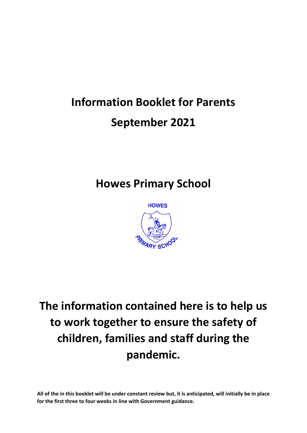# **Information Booklet for Parents September 2021**

### **Howes Primary School**



## **The information contained here is to help us to work together to ensure the safety of children, families and staff during the pandemic.**

**All of the in this booklet will be under constant review but, it is anticipated, will initially be in place for the first three to four weeks in line with Government guidance.**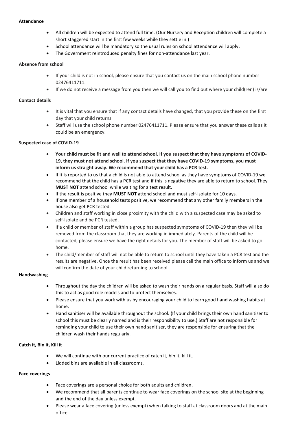#### **Attendance**

- All children will be expected to attend full time. (Our Nursery and Reception children will complete a short staggered start in the first few weeks while they settle in.)
- School attendance will be mandatory so the usual rules on school attendance will apply.
- The Government reintroduced penalty fines for non-attendance last year.

#### **Absence from school**

- If your child is not in school, please ensure that you contact us on the main school phone number 02476411711.
- If we do not receive a message from you then we will call you to find out where your child(ren) is/are.

#### **Contact details**

- It is vital that you ensure that if any contact details have changed, that you provide these on the first day that your child returns.
- Staff will use the school phone number 02476411711. Please ensure that you answer these calls as it could be an emergency.

#### **Suspected case of COVID-19**

- Your child must be fit and well to attend school. If you suspect that they have symptoms of COVID-**19, they must not attend school. If you suspect that they have COVID-19 symptoms, you must inform us straight away. We recommend that your child has a PCR test.**
- If it is reported to us that a child is not able to attend school as they have symptoms of COVID-19 we recommend that the child has a PCR test and if this is negative they are able to return to school. They **MUST NOT** attend school while waiting for a test result.
- If the result is positive they **MUST NOT** attend school and must self-isolate for 10 days.
- If one member of a household tests positive, we recommend that any other family members in the house also get PCR tested.
- Children and staff working in close proximity with the child with a suspected case may be asked to self-isolate and be PCR tested.
- If a child or member of staff within a group has suspected symptoms of COVID-19 then they will be removed from the classroom that they are working in immediately. Parents of the child will be contacted, please ensure we have the right details for you. The member of staff will be asked to go home.
- The child/member of staff will not be able to return to school until they have taken a PCR test and the results are negative. Once the result has been received please call the main office to inform us and we will confirm the date of your child returning to school.

#### **Handwashing**

- Throughout the day the children will be asked to wash their hands on a regular basis. Staff will also do this to act as good role models and to protect themselves.
- Please ensure that you work with us by encouraging your child to learn good hand washing habits at home.
- Hand sanitiser will be available throughout the school. (If your child brings their own hand sanitiser to school this must be clearly named and is their responsibility to use.) Staff are not responsible for reminding your child to use their own hand sanitiser, they are responsible for ensuring that the children wash their hands regularly.

#### **Catch it, Bin it, Kill it**

- We will continue with our current practice of catch it, bin it, kill it.
- Lidded bins are available in all classrooms.

#### **Face coverings**

- Face coverings are a personal choice for both adults and children.
- We recommend that all parents continue to wear face coverings on the school site at the beginning and the end of the day unless exempt.
- Please wear a face covering (unless exempt) when talking to staff at classroom doors and at the main office.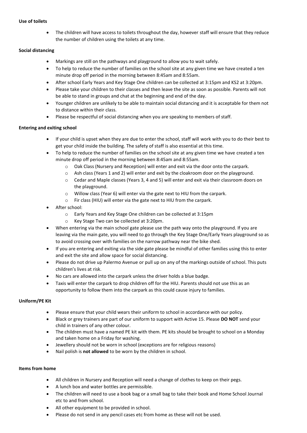#### **Use of toilets**

 The children will have access to toilets throughout the day, however staff will ensure that they reduce the number of children using the toilets at any time.

#### **Social distancing**

- Markings are still on the pathways and playground to allow you to wait safely.
- To help to reduce the number of families on the school site at any given time we have created a ten minute drop off period in the morning between 8:45am and 8:55am.
- After school Early Years and Key Stage One children can be collected at 3:15pm and KS2 at 3:20pm.
- Please take your children to their classes and then leave the site as soon as possible. Parents will not be able to stand in groups and chat at the beginning and end of the day.
- Younger children are unlikely to be able to maintain social distancing and it is acceptable for them not to distance within their class.
- Please be respectful of social distancing when you are speaking to members of staff.

#### **Entering and exiting school**

- If your child is upset when they are due to enter the school, staff will work with you to do their best to get your child inside the building. The safety of staff is also essential at this time.
- To help to reduce the number of families on the school site at any given time we have created a ten minute drop off period in the morning between 8:45am and 8:55am.
	- o Oak Class (Nursery and Reception) will enter and exit via the door onto the carpark.
	- o Ash class (Years 1 and 2) will enter and exit by the cloakroom door on the playground.
	- o Cedar and Maple classes (Years 3, 4 and 5) will enter and exit via their classroom doors on the playground.
	- o Willow class (Year 6) will enter via the gate next to HIU from the carpark.
	- o Fir class (HIU) will enter via the gate next to HIU from the carpark.
- After school:
	- o Early Years and Key Stage One children can be collected at 3:15pm
	- o Key Stage Two can be collected at 3:20pm.
- When entering via the main school gate please use the path way onto the playground. If you are leaving via the main gate, you will need to go through the Key Stage One/Early Years playground so as to avoid crossing over with families on the narrow pathway near the bike shed.
- If you are entering and exiting via the side gate please be mindful of other families using this to enter and exit the site and allow space for social distancing.
- Please do not drive up Palermo Avenue or pull up on any of the markings outside of school. This puts children's lives at risk.
- No cars are allowed into the carpark unless the driver holds a blue badge.
- Taxis will enter the carpark to drop children off for the HIU. Parents should not use this as an opportunity to follow them into the carpark as this could cause injury to families.

#### **Uniform/PE Kit**

- Please ensure that your child wears their uniform to school in accordance with our policy.
- Black or grey trainers are part of our uniform to support with Active 15. Please **DO NOT** send your child in trainers of any other colour.
- The children must have a named PE kit with them. PE kits should be brought to school on a Monday and taken home on a Friday for washing.
- Jewellery should not be worn in school (exceptions are for religious reasons)
- Nail polish is **not allowed** to be worn by the children in school.

#### **Items from home**

- All children in Nursery and Reception will need a change of clothes to keep on their pegs.
- A lunch box and water bottles are permissible.
- The children will need to use a book bag or a small bag to take their book and Home School Journal etc to and from school.
- All other equipment to be provided in school.
- Please do not send in any pencil cases etc from home as these will not be used.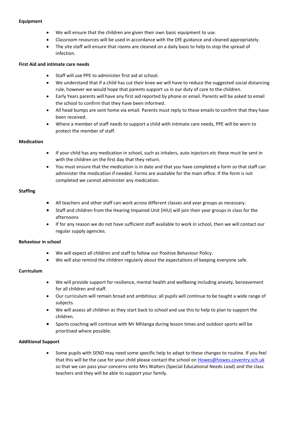#### **Equipment**

- We will ensure that the children are given their own basic equipment to use.
- Classroom resources will be used in accordance with the DfE guidance and cleaned appropriately.
- The site staff will ensure that rooms are cleaned on a daily basis to help to stop the spread of infection.

#### **First Aid and intimate care needs**

- Staff will use PPE to administer first aid at school.
- We understand that if a child has cut their knee we will have to reduce the suggested social distancing rule, however we would hope that parents support us in our duty of care to the children.
- Early Years parents will have any first aid reported by phone or email. Parents will be asked to email the school to confirm that they have been informed.
- All head bumps are sent home via email. Parents must reply to these emails to confirm that they have been received.
- Where a member of staff needs to support a child with intimate care needs, PPE will be worn to protect the member of staff.

#### **Medication**

- If your child has any medication in school, such as inhalers, auto injectors etc these must be sent in with the children on the first day that they return.
- You must ensure that the medication is in date and that you have completed a form so that staff can administer the medication if needed. Forms are available for the main office. If the form is not completed we cannot administer any medication.

#### **Staffing**

- All teachers and other staff can work across different classes and year groups as necessary.
- Staff and children from the Hearing Impaired Unit (HIU) will join their year groups in class for the afternoons
- If for any reason we do not have sufficient staff available to work in school, then we will contact our regular supply agencies.

#### **Behaviour in school**

- We will expect all children and staff to follow our Positive Behaviour Policy.
- We will also remind the children regularly about the expectations of keeping everyone safe.

#### **Curriculum**

- We will provide support for resilience, mental health and wellbeing including anxiety, bereavement for all children and staff.
- Our curriculum will remain broad and ambitious: all pupils will continue to be taught a wide range of subjects.
- We will assess all children as they start back to school and use this to help to plan to support the children.
- Sports coaching will continue with Mr Mhlanga during lesson times and outdoor sports will be prioritised where possible.

#### **Additional Support**

 Some pupils with SEND may need some specific help to adapt to these changes to routine. If you feel that this will be the case for your child please contact the school o[n Howes@howes.coventry.sch.uk](mailto:Howes@howes.coventry.sch.uk) so that we can pass your concerns onto Mrs Walters (Special Educational Needs Lead) and the class teachers and they will be able to support your family.